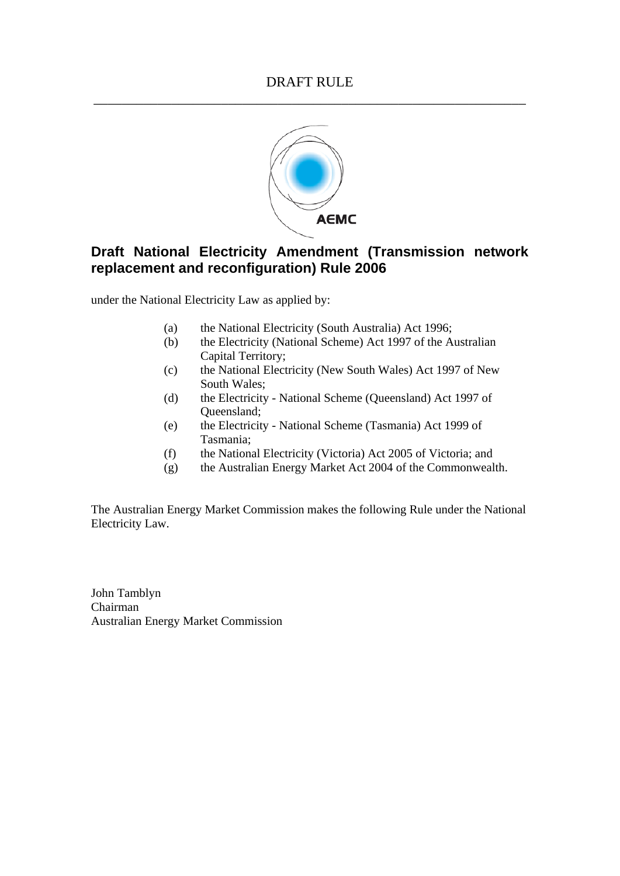

# **Draft National Electricity Amendment (Transmission network replacement and reconfiguration) Rule 2006**

under the National Electricity Law as applied by:

- (a) the National Electricity (South Australia) Act 1996;
- (b) the Electricity (National Scheme) Act 1997 of the Australian Capital Territory;
- (c) the National Electricity (New South Wales) Act 1997 of New South Wales;
- (d) the Electricity National Scheme (Queensland) Act 1997 of Queensland;
- (e) the Electricity National Scheme (Tasmania) Act 1999 of Tasmania;
- (f) the National Electricity (Victoria) Act 2005 of Victoria; and
- (g) the Australian Energy Market Act 2004 of the Commonwealth.

The Australian Energy Market Commission makes the following Rule under the National Electricity Law.

John Tamblyn Chairman Australian Energy Market Commission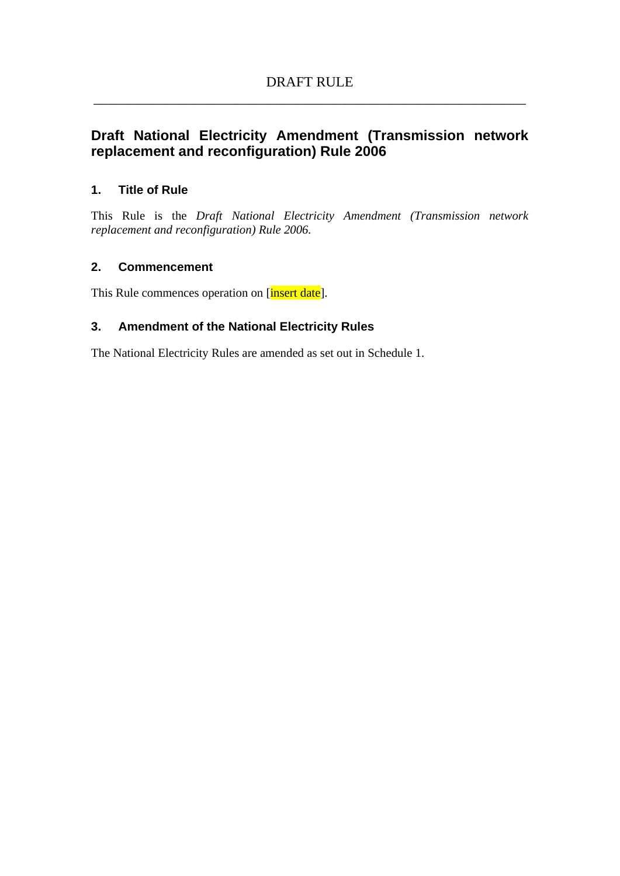# **Draft National Electricity Amendment (Transmission network replacement and reconfiguration) Rule 2006**

# **1. Title of Rule**

This Rule is the *Draft National Electricity Amendment (Transmission network replacement and reconfiguration) Rule 2006.* 

## **2. Commencement**

This Rule commences operation on [insert date].

# **3. Amendment of the National Electricity Rules**

The National Electricity Rules are amended as set out in Schedule 1.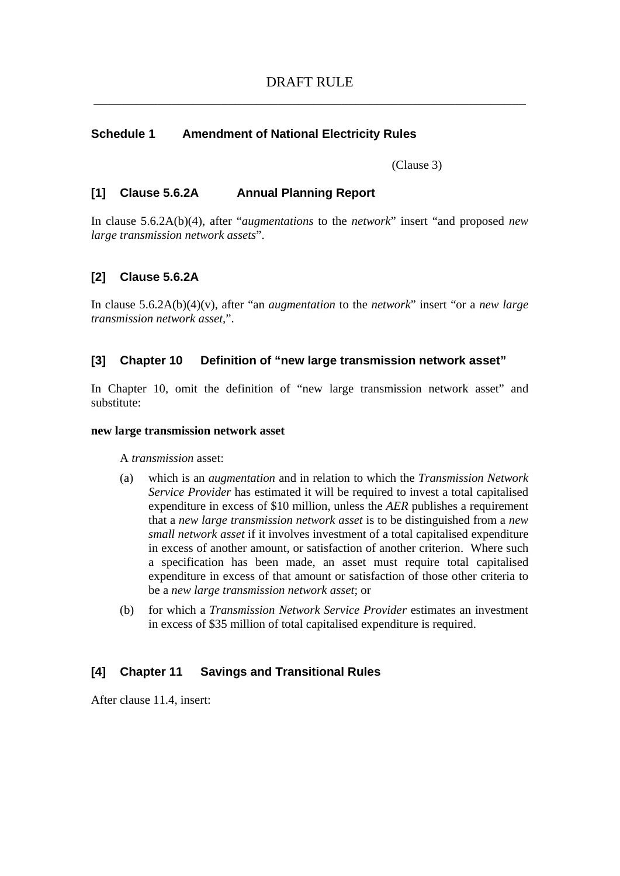#### **Schedule 1 Amendment of National Electricity Rules**

(Clause 3)

### **[1] Clause 5.6.2A Annual Planning Report**

In clause 5.6.2A(b)(4), after "*augmentations* to the *network*" insert "and proposed *new large transmission network assets*".

## **[2] Clause 5.6.2A**

In clause 5.6.2A(b)(4)(v), after "an *augmentation* to the *network*" insert "or a *new large transmission network asset,*".

# **[3] Chapter 10 Definition of "new large transmission network asset"**

In Chapter 10, omit the definition of "new large transmission network asset" and substitute:

#### **new large transmission network asset**

A *transmission* asset:

- (a) which is an *augmentation* and in relation to which the *Transmission Network Service Provider* has estimated it will be required to invest a total capitalised expenditure in excess of \$10 million, unless the *AER* publishes a requirement that a *new large transmission network asset* is to be distinguished from a *new small network asset* if it involves investment of a total capitalised expenditure in excess of another amount, or satisfaction of another criterion. Where such a specification has been made, an asset must require total capitalised expenditure in excess of that amount or satisfaction of those other criteria to be a *new large transmission network asset*; or
- (b) for which a *Transmission Network Service Provider* estimates an investment in excess of \$35 million of total capitalised expenditure is required.

#### **[4] Chapter 11 Savings and Transitional Rules**

After clause 11.4, insert: